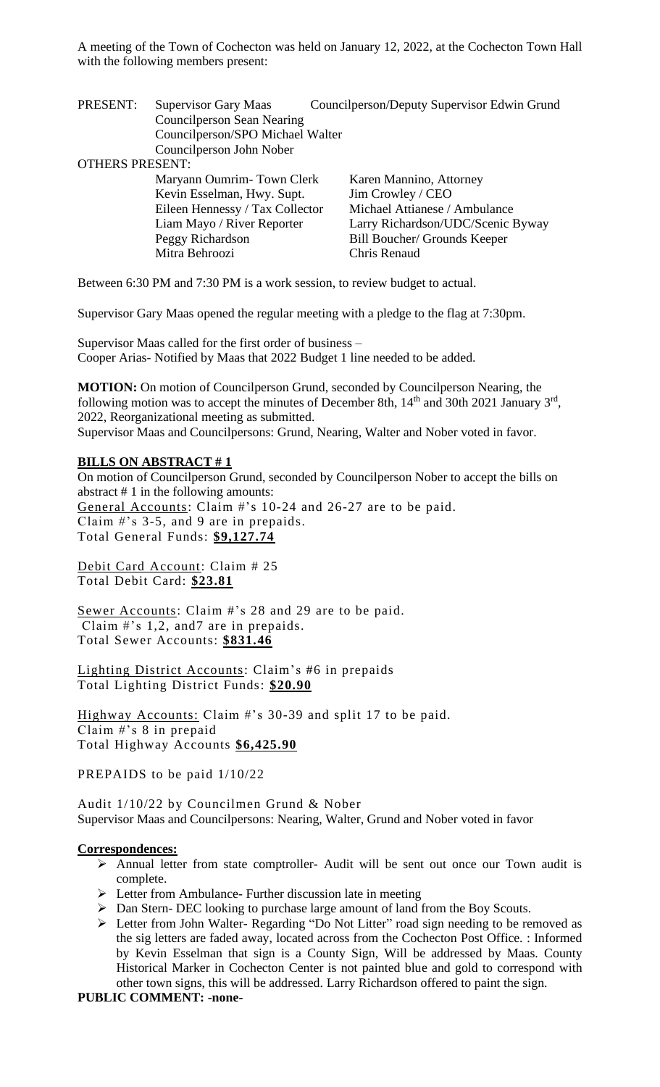PRESENT: Supervisor Gary Maas Council person/Deputy Supervisor Edwin Grund Councilperson Sean Nearing Councilperson/SPO Michael Walter Councilperson John Nober

OTHERS PRESENT:

| Maryann Oumrim-Town Clerk       | Karen Mannino, Attorney           |
|---------------------------------|-----------------------------------|
| Kevin Esselman, Hwy. Supt.      | Jim Crowley / CEO                 |
| Eileen Hennessy / Tax Collector | Michael Attianese / Ambulance     |
| Liam Mayo / River Reporter      | Larry Richardson/UDC/Scenic Byway |
| Peggy Richardson                | Bill Boucher/ Grounds Keeper      |
| Mitra Behroozi                  | Chris Renaud                      |
|                                 |                                   |

Between 6:30 PM and 7:30 PM is a work session, to review budget to actual.

Supervisor Gary Maas opened the regular meeting with a pledge to the flag at 7:30pm.

Supervisor Maas called for the first order of business – Cooper Arias- Notified by Maas that 2022 Budget 1 line needed to be added.

**MOTION:** On motion of Councilperson Grund, seconded by Councilperson Nearing, the following motion was to accept the minutes of December 8th,  $14<sup>th</sup>$  and 30th 2021 January 3<sup>rd</sup>, 2022, Reorganizational meeting as submitted.

Supervisor Maas and Councilpersons: Grund, Nearing, Walter and Nober voted in favor.

#### **BILLS ON ABSTRACT # 1**

On motion of Councilperson Grund, seconded by Councilperson Nober to accept the bills on abstract # 1 in the following amounts: General Accounts: Claim #'s 10-24 and 26-27 are to be paid. Claim #'s 3-5, and 9 are in prepaids. Total General Funds: **\$9,127.74**

Debit Card Account: Claim # 25 Total Debit Card: **\$23.81**

Sewer Accounts: Claim #'s 28 and 29 are to be paid. Claim #'s 1,2, and7 are in prepaids. Total Sewer Accounts: **\$831.46**

Lighting District Accounts: Claim's #6 in prepaids Total Lighting District Funds: **\$20.90**

Highway Accounts: Claim #'s 30-39 and split 17 to be paid. Claim #'s 8 in prepaid Total Highway Accounts **\$6,425.90**

PREPAIDS to be paid 1/10/22

Audit 1/10/22 by Councilmen Grund & Nober Supervisor Maas and Councilpersons: Nearing, Walter, Grund and Nober voted in favor

#### **Correspondences:**

- ➢ Annual letter from state comptroller- Audit will be sent out once our Town audit is complete.
- ➢ Letter from Ambulance- Further discussion late in meeting
- ➢ Dan Stern- DEC looking to purchase large amount of land from the Boy Scouts.
- ➢ Letter from John Walter- Regarding "Do Not Litter" road sign needing to be removed as the sig letters are faded away, located across from the Cochecton Post Office. : Informed by Kevin Esselman that sign is a County Sign, Will be addressed by Maas. County Historical Marker in Cochecton Center is not painted blue and gold to correspond with other town signs, this will be addressed. Larry Richardson offered to paint the sign.

**PUBLIC COMMENT: -none-**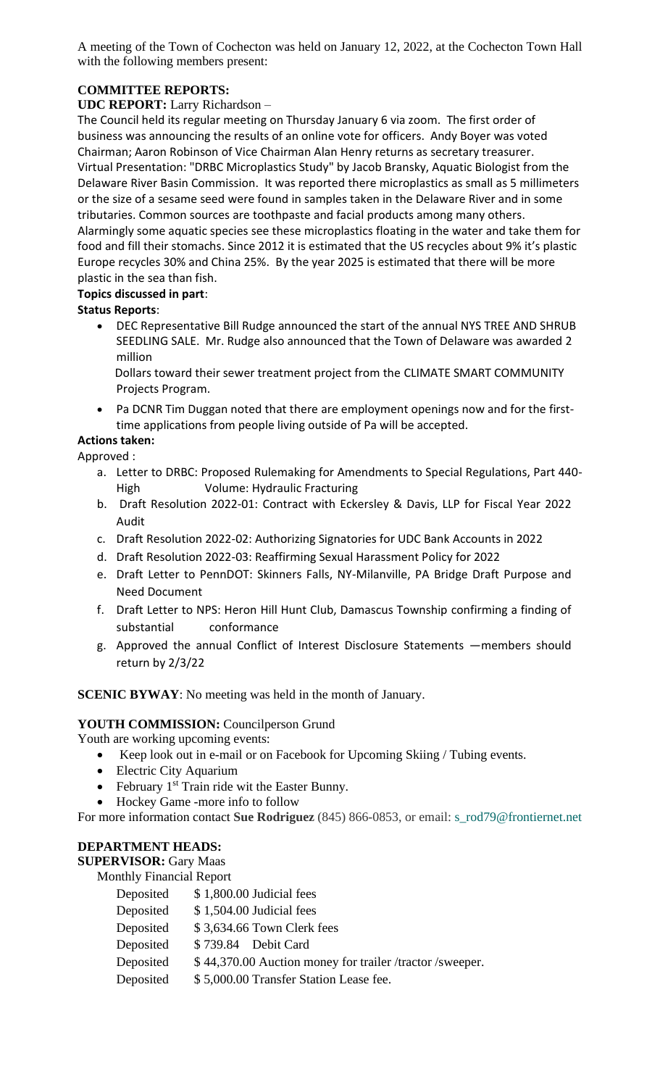# **COMMITTEE REPORTS:**

## **UDC REPORT:** Larry Richardson –

The Council held its regular meeting on Thursday January 6 via zoom. The first order of business was announcing the results of an online vote for officers. Andy Boyer was voted Chairman; Aaron Robinson of Vice Chairman Alan Henry returns as secretary treasurer. Virtual Presentation: "DRBC Microplastics Study" by Jacob Bransky, Aquatic Biologist from the Delaware River Basin Commission. It was reported there microplastics as small as 5 millimeters or the size of a sesame seed were found in samples taken in the Delaware River and in some tributaries. Common sources are toothpaste and facial products among many others. Alarmingly some aquatic species see these microplastics floating in the water and take them for food and fill their stomachs. Since 2012 it is estimated that the US recycles about 9% it's plastic Europe recycles 30% and China 25%. By the year 2025 is estimated that there will be more plastic in the sea than fish.

#### **Topics discussed in part**:

## **Status Reports**:

• DEC Representative Bill Rudge announced the start of the annual NYS TREE AND SHRUB SEEDLING SALE. Mr. Rudge also announced that the Town of Delaware was awarded 2 million

 Dollars toward their sewer treatment project from the CLIMATE SMART COMMUNITY Projects Program.

• Pa DCNR Tim Duggan noted that there are employment openings now and for the firsttime applications from people living outside of Pa will be accepted.

#### **Actions taken:**

Approved :

- a. Letter to DRBC: Proposed Rulemaking for Amendments to Special Regulations, Part 440- High Volume: Hydraulic Fracturing
- b. Draft Resolution 2022-01: Contract with Eckersley & Davis, LLP for Fiscal Year 2022 Audit
- c. Draft Resolution 2022-02: Authorizing Signatories for UDC Bank Accounts in 2022
- d. Draft Resolution 2022-03: Reaffirming Sexual Harassment Policy for 2022
- e. Draft Letter to PennDOT: Skinners Falls, NY-Milanville, PA Bridge Draft Purpose and Need Document
- f. Draft Letter to NPS: Heron Hill Hunt Club, Damascus Township confirming a finding of substantial conformance
- g. Approved the annual Conflict of Interest Disclosure Statements —members should return by 2/3/22

# **SCENIC BYWAY**: No meeting was held in the month of January.

#### **YOUTH COMMISSION:** Councilperson Grund

Youth are working upcoming events:

- Keep look out in e-mail or on Facebook for Upcoming Skiing / Tubing events.
- Electric City Aquarium
- February  $1<sup>st</sup>$  Train ride wit the Easter Bunny.
- Hockey Game -more info to follow

For more information contact **Sue Rodriguez** (845) 866-0853, or email: [s\\_rod79@frontiernet.net](mailto:s_rod79@frontiernet.net)

#### **DEPARTMENT HEADS:**

#### **SUPERVISOR:** Gary Maas

Monthly Financial Report

| Deposited | $$1,800.00$ Judicial fees                                |  |  |  |
|-----------|----------------------------------------------------------|--|--|--|
| Deposited | $$1,504.00$ Judicial fees                                |  |  |  |
| Deposited | \$3,634.66 Town Clerk fees                               |  |  |  |
| Deposited | \$739.84 Debit Card                                      |  |  |  |
| Deposited | \$44,370.00 Auction money for trailer /tractor /sweeper. |  |  |  |
| Deposited | \$5,000.00 Transfer Station Lease fee.                   |  |  |  |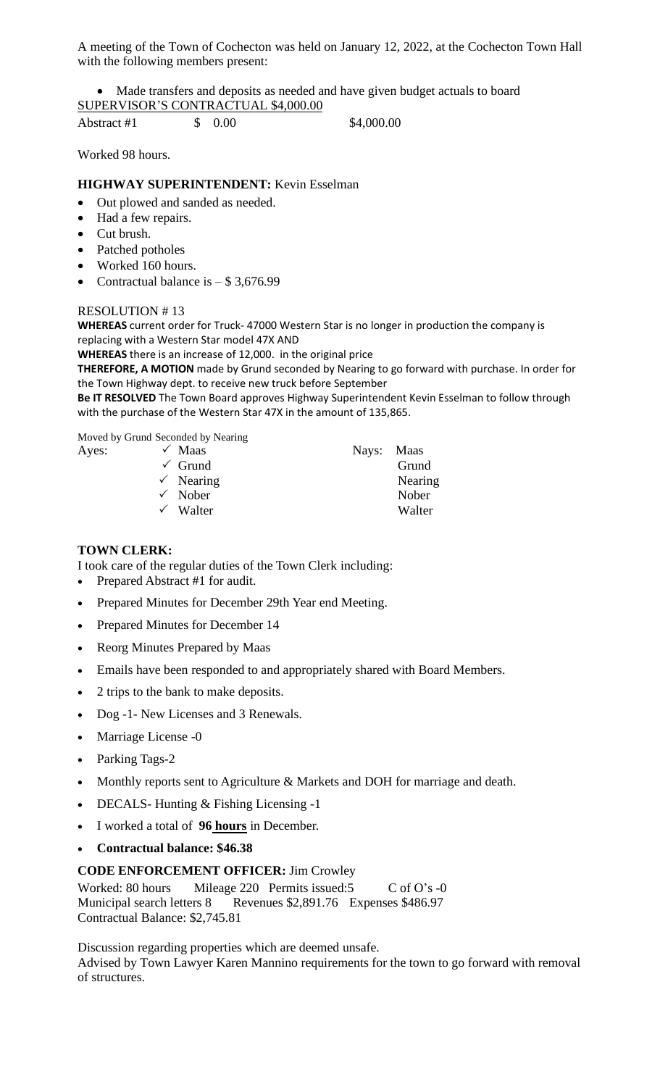• Made transfers and deposits as needed and have given budget actuals to board SUPERVISOR'S CONTRACTUAL \$4,000.00

Abstract #1 \$ 0.00 \$4,000.00

Worked 98 hours.

## **HIGHWAY SUPERINTENDENT:** Kevin Esselman

- Out plowed and sanded as needed.
- Had a few repairs.
- Cut brush.
- Patched potholes
- Worked 160 hours.
- Contractual balance is  $-$  \$ 3,676.99

#### RESOLUTION # 13

**WHEREAS** current order for Truck- 47000 Western Star is no longer in production the company is replacing with a Western Star model 47X AND

**WHEREAS** there is an increase of 12,000. in the original price

**THEREFORE, A MOTION** made by Grund seconded by Nearing to go forward with purchase. In order for the Town Highway dept. to receive new truck before September

**Be IT RESOLVED** The Town Board approves Highway Superintendent Kevin Esselman to follow through with the purchase of the Western Star 47X in the amount of 135,865.

Moved by Grund Seconded by Nearing

| Ayes: | $\checkmark$ Maas    | Nays: Maas |         |
|-------|----------------------|------------|---------|
|       | $\checkmark$ Grund   |            | Grund   |
|       | $\checkmark$ Nearing |            | Nearing |
|       | $\checkmark$ Nober   |            | Nober   |
|       | $\checkmark$ Walter  |            | Walter  |

### **TOWN CLERK:**

I took care of the regular duties of the Town Clerk including:

- Prepared Abstract #1 for audit.
- Prepared Minutes for December 29th Year end Meeting.
- Prepared Minutes for December 14
- Reorg Minutes Prepared by Maas
- Emails have been responded to and appropriately shared with Board Members.
- 2 trips to the bank to make deposits.
- Dog -1- New Licenses and 3 Renewals.
- Marriage License -0
- Parking Tags-2
- Monthly reports sent to Agriculture & Markets and DOH for marriage and death.
- DECALS- Hunting & Fishing Licensing -1
- I worked a total of **96 hours** in December.
- **Contractual balance: \$46.38**

#### **CODE ENFORCEMENT OFFICER:** Jim Crowley

Worked: 80 hours Mileage 220 Permits issued:5 C of O's -0 Municipal search letters 8 Revenues \$2,891.76 Expenses \$486.97 Contractual Balance: \$2,745.81

Discussion regarding properties which are deemed unsafe.

Advised by Town Lawyer Karen Mannino requirements for the town to go forward with removal of structures.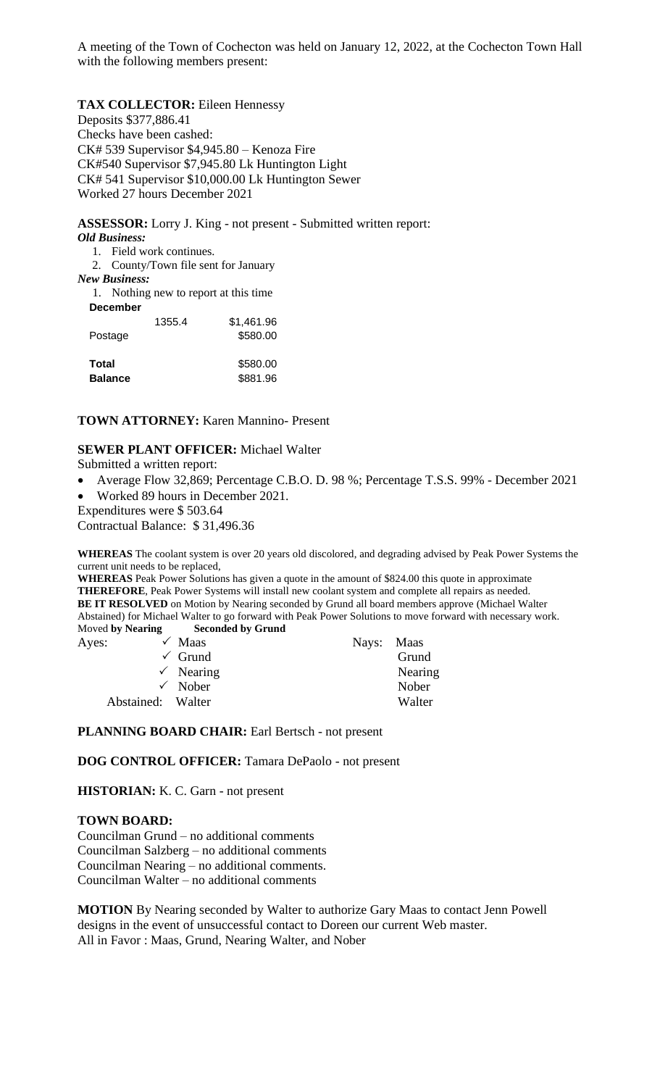#### **TAX COLLECTOR:** Eileen Hennessy

Deposits \$377,886.41 Checks have been cashed: CK# 539 Supervisor \$4,945.80 – Kenoza Fire CK#540 Supervisor \$7,945.80 Lk Huntington Light CK# 541 Supervisor \$10,000.00 Lk Huntington Sewer Worked 27 hours December 2021

**ASSESSOR:** Lorry J. King - not present - Submitted written report: *Old Business:*

1. Field work continues.

2. County/Town file sent for January

*New Business:*

1. Nothing new to report at this time

| <b>December</b> |        |            |
|-----------------|--------|------------|
|                 | 1355.4 | \$1,461.96 |
| Postage         |        | \$580.00   |
| Total           |        | \$580.00   |
| <b>Balance</b>  |        | \$881.96   |

### **TOWN ATTORNEY:** Karen Mannino- Present

#### **SEWER PLANT OFFICER:** Michael Walter

Submitted a written report:

• Average Flow 32,869; Percentage C.B.O. D. 98 %; Percentage T.S.S. 99% - December 2021 • Worked 89 hours in December 2021.

Expenditures were \$ 503.64

Contractual Balance: \$ 31,496.36

**WHEREAS** The coolant system is over 20 years old discolored, and degrading advised by Peak Power Systems the current unit needs to be replaced,

**WHEREAS** Peak Power Solutions has given a quote in the amount of \$824.00 this quote in approximate **THEREFORE**, Peak Power Systems will install new coolant system and complete all repairs as needed. **BE IT RESOLVED** on Motion by Nearing seconded by Grund all board members approve (Michael Walter Abstained) for Michael Walter to go forward with Peak Power Solutions to move forward with necessary work. Moved **by Nearing Seconded by Grund**

| Ayes: |                   | $\checkmark$ Maas    | Nays: Maas |         |
|-------|-------------------|----------------------|------------|---------|
|       |                   | $\checkmark$ Grund   |            | Grund   |
|       |                   | $\checkmark$ Nearing |            | Nearing |
|       |                   | $\checkmark$ Nober   |            | Nober   |
|       | Abstained: Walter |                      |            | Walter  |

PLANNING BOARD CHAIR: Earl Bertsch - not present

**DOG CONTROL OFFICER:** Tamara DePaolo - not present

**HISTORIAN:** K. C. Garn - not present

## **TOWN BOARD:**

Councilman Grund – no additional comments Councilman Salzberg – no additional comments Councilman Nearing – no additional comments. Councilman Walter – no additional comments

**MOTION** By Nearing seconded by Walter to authorize Gary Maas to contact Jenn Powell designs in the event of unsuccessful contact to Doreen our current Web master. All in Favor : Maas, Grund, Nearing Walter, and Nober